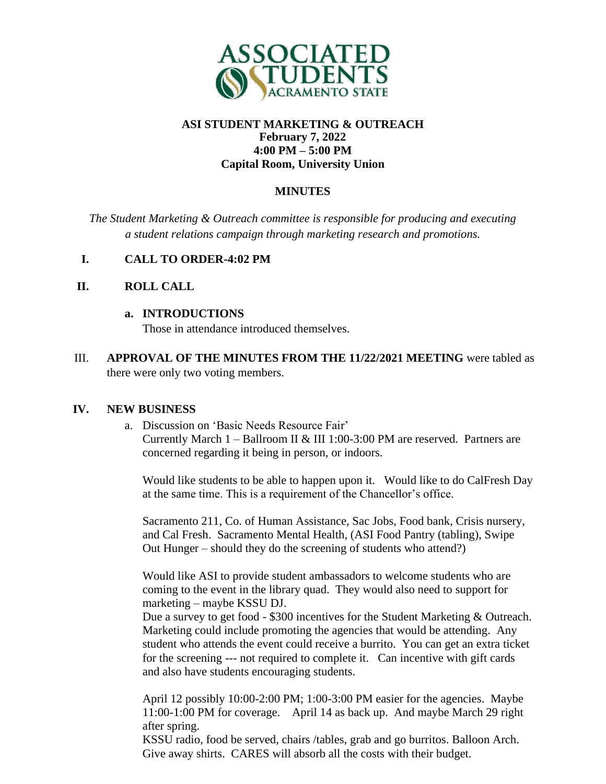

## **ASI STUDENT MARKETING & OUTREACH February 7, 2022 4:00 PM – 5:00 PM Capital Room, University Union**

# **MINUTES**

*The Student Marketing & Outreach committee is responsible for producing and executing a student relations campaign through marketing research and promotions.*

## **I. CALL TO ORDER-4:02 PM**

## **II. ROLL CALL**

#### **a. INTRODUCTIONS**

Those in attendance introduced themselves.

III. **APPROVAL OF THE MINUTES FROM THE 11/22/2021 MEETING** were tabled as there were only two voting members.

### **IV. NEW BUSINESS**

a. Discussion on 'Basic Needs Resource Fair'

Currently March  $1 -$  Ballroom II & III 1:00-3:00 PM are reserved. Partners are concerned regarding it being in person, or indoors.

Would like students to be able to happen upon it. Would like to do CalFresh Day at the same time. This is a requirement of the Chancellor's office.

Sacramento 211, Co. of Human Assistance, Sac Jobs, Food bank, Crisis nursery, and Cal Fresh. Sacramento Mental Health, (ASI Food Pantry (tabling), Swipe Out Hunger – should they do the screening of students who attend?)

Would like ASI to provide student ambassadors to welcome students who are coming to the event in the library quad. They would also need to support for marketing – maybe KSSU DJ.

Due a survey to get food - \$300 incentives for the Student Marketing & Outreach. Marketing could include promoting the agencies that would be attending. Any student who attends the event could receive a burrito. You can get an extra ticket for the screening --- not required to complete it. Can incentive with gift cards and also have students encouraging students.

April 12 possibly 10:00-2:00 PM; 1:00-3:00 PM easier for the agencies. Maybe 11:00-1:00 PM for coverage. April 14 as back up. And maybe March 29 right after spring.

KSSU radio, food be served, chairs /tables, grab and go burritos. Balloon Arch. Give away shirts. CARES will absorb all the costs with their budget.